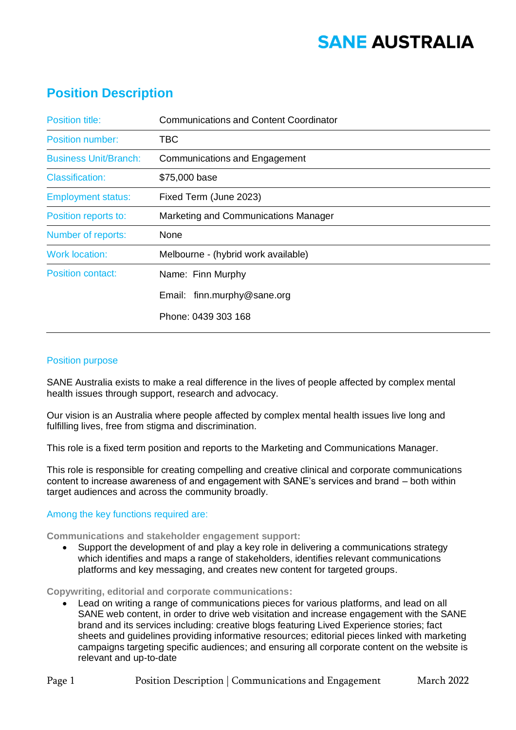# **SANE AUSTRALIA**

## **Position Description**

| <b>Position title:</b>       | <b>Communications and Content Coordinator</b> |
|------------------------------|-----------------------------------------------|
| <b>Position number:</b>      | TBC                                           |
| <b>Business Unit/Branch:</b> | <b>Communications and Engagement</b>          |
| <b>Classification:</b>       | \$75,000 base                                 |
| <b>Employment status:</b>    | Fixed Term (June 2023)                        |
| Position reports to:         | Marketing and Communications Manager          |
| Number of reports:           | None                                          |
| <b>Work location:</b>        | Melbourne - (hybrid work available)           |
| Position contact:            | Name: Finn Murphy                             |
|                              | Email: finn.murphy@sane.org                   |
|                              | Phone: 0439 303 168                           |

### Position purpose

SANE Australia exists to make a real difference in the lives of people affected by complex mental health issues through support, research and advocacy.

Our vision is an Australia where people affected by complex mental health issues live long and fulfilling lives, free from stigma and discrimination.

This role is a fixed term position and reports to the Marketing and Communications Manager.

This role is responsible for creating compelling and creative clinical and corporate communications content to increase awareness of and engagement with SANE's services and brand – both within target audiences and across the community broadly.

### Among the key functions required are:

**Communications and stakeholder engagement support:**

• Support the development of and play a key role in delivering a communications strategy which identifies and maps a range of stakeholders, identifies relevant communications platforms and key messaging, and creates new content for targeted groups.

**Copywriting, editorial and corporate communications:**

• Lead on writing a range of communications pieces for various platforms, and lead on all SANE web content, in order to drive web visitation and increase engagement with the SANE brand and its services including: creative blogs featuring Lived Experience stories; fact sheets and guidelines providing informative resources; editorial pieces linked with marketing campaigns targeting specific audiences; and ensuring all corporate content on the website is relevant and up-to-date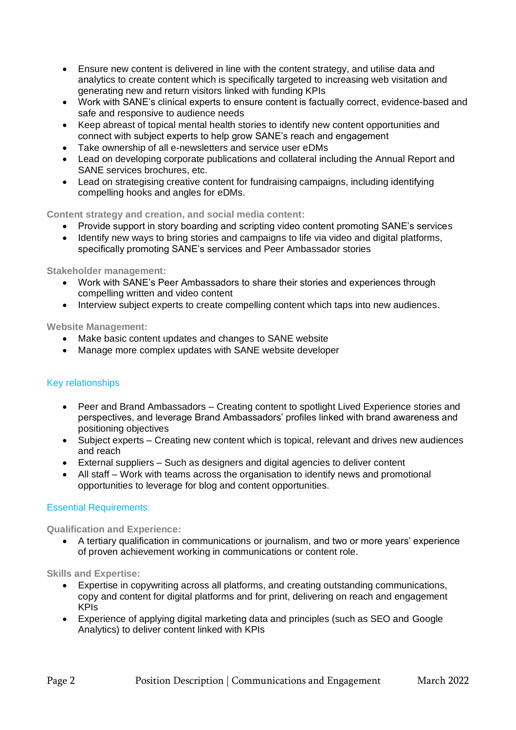- Ensure new content is delivered in line with the content strategy, and utilise data and analytics to create content which is specifically targeted to increasing web visitation and generating new and return visitors linked with funding KPIs
- Work with SANE's clinical experts to ensure content is factually correct, evidence-based and safe and responsive to audience needs
- Keep abreast of topical mental health stories to identify new content opportunities and connect with subject experts to help grow SANE's reach and engagement
- Take ownership of all e-newsletters and service user eDMs
- Lead on developing corporate publications and collateral including the Annual Report and SANE services brochures, etc.
- Lead on strategising creative content for fundraising campaigns, including identifying compelling hooks and angles for eDMs.

**Content strategy and creation, and social media content:**

- Provide support in story boarding and scripting video content promoting SANE's services
- Identify new ways to bring stories and campaigns to life via video and digital platforms, specifically promoting SANE's services and Peer Ambassador stories

**Stakeholder management:**

- Work with SANE's Peer Ambassadors to share their stories and experiences through compelling written and video content
- Interview subject experts to create compelling content which taps into new audiences.

**Website Management:**

- Make basic content updates and changes to SANE website
- Manage more complex updates with SANE website developer

### Key relationships

- Peer and Brand Ambassadors Creating content to spotlight Lived Experience stories and perspectives, and leverage Brand Ambassadors' profiles linked with brand awareness and positioning objectives
- Subject experts Creating new content which is topical, relevant and drives new audiences and reach
- External suppliers Such as designers and digital agencies to deliver content
- All staff Work with teams across the organisation to identify news and promotional opportunities to leverage for blog and content opportunities.

### Essential Requirements:

**Qualification and Experience:**

• A tertiary qualification in communications or journalism, and two or more years' experience of proven achievement working in communications or content role.

**Skills and Expertise:**

- Expertise in copywriting across all platforms, and creating outstanding communications, copy and content for digital platforms and for print, delivering on reach and engagement KPIs
- Experience of applying digital marketing data and principles (such as SEO and Google Analytics) to deliver content linked with KPIs